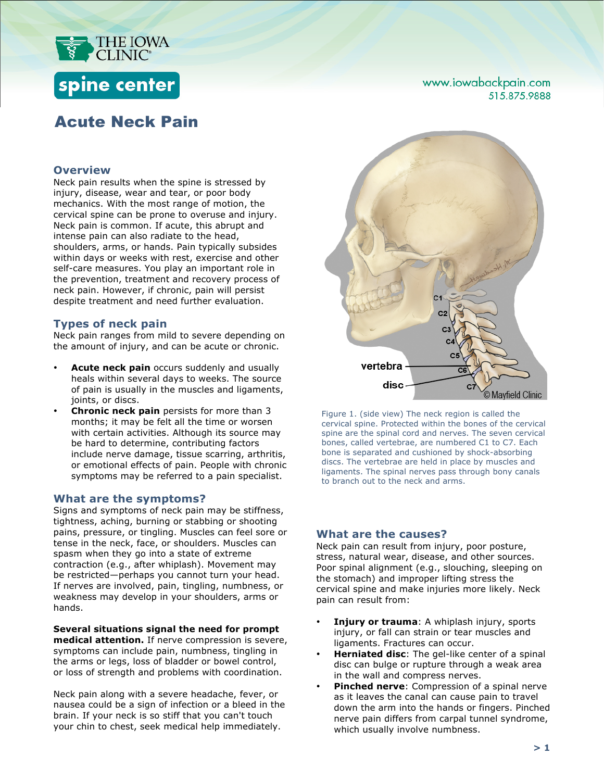

## spine center

### Acute Neck Pain

### **Overview**

Neck pain results when the spine is stressed by injury, disease, wear and tear, or poor body mechanics. With the most range of motion, the cervical spine can be prone to overuse and injury. Neck pain is common. If acute, this abrupt and intense pain can also radiate to the head, shoulders, arms, or hands. Pain typically subsides within days or weeks with rest, exercise and other self-care measures. You play an important role in the prevention, treatment and recovery process of neck pain. However, if chronic, pain will persist despite treatment and need further evaluation.

### **Types of neck pain**

Neck pain ranges from mild to severe depending on the amount of injury, and can be acute or chronic.

- **Acute neck pain** occurs suddenly and usually heals within several days to weeks. The source of pain is usually in the muscles and ligaments, joints, or discs.
- **Chronic neck pain** persists for more than 3 months; it may be felt all the time or worsen with certain activities. Although its source may be hard to determine, contributing factors include nerve damage, tissue scarring, arthritis, or emotional effects of pain. People with chronic symptoms may be referred to a pain specialist.

### **What are the symptoms?**

Signs and symptoms of neck pain may be stiffness, tightness, aching, burning or stabbing or shooting pains, pressure, or tingling. Muscles can feel sore or tense in the neck, face, or shoulders. Muscles can spasm when they go into a state of extreme contraction (e.g., after whiplash). Movement may be restricted—perhaps you cannot turn your head. If nerves are involved, pain, tingling, numbness, or weakness may develop in your shoulders, arms or hands.

#### **Several situations signal the need for prompt**

**medical attention.** If nerve compression is severe, symptoms can include pain, numbness, tingling in the arms or legs, loss of bladder or bowel control, or loss of strength and problems with coordination.

Neck pain along with a severe headache, fever, or nausea could be a sign of infection or a bleed in the brain. If your neck is so stiff that you can't touch your chin to chest, seek medical help immediately.



Figure 1. (side view) The neck region is called the cervical spine. Protected within the bones of the cervical spine are the spinal cord and nerves. The seven cervical bones, called vertebrae, are numbered C1 to C7. Each bone is separated and cushioned by shock-absorbing discs. The vertebrae are held in place by muscles and ligaments. The spinal nerves pass through bony canals to branch out to the neck and arms.

### **What are the causes?**

Neck pain can result from injury, poor posture, stress, natural wear, disease, and other sources. Poor spinal alignment (e.g., slouching, sleeping on the stomach) and improper lifting stress the cervical spine and make injuries more likely. Neck pain can result from:

- **Injury or trauma:** A whiplash injury, sports injury, or fall can strain or tear muscles and ligaments. Fractures can occur.
- **Herniated disc:** The gel-like center of a spinal disc can bulge or rupture through a weak area in the wall and compress nerves.
- **Pinched nerve:** Compression of a spinal nerve as it leaves the canal can cause pain to travel down the arm into the hands or fingers. Pinched nerve pain differs from carpal tunnel syndrome, which usually involve numbness.

# 515.875.9888

www.iowabackpain.com